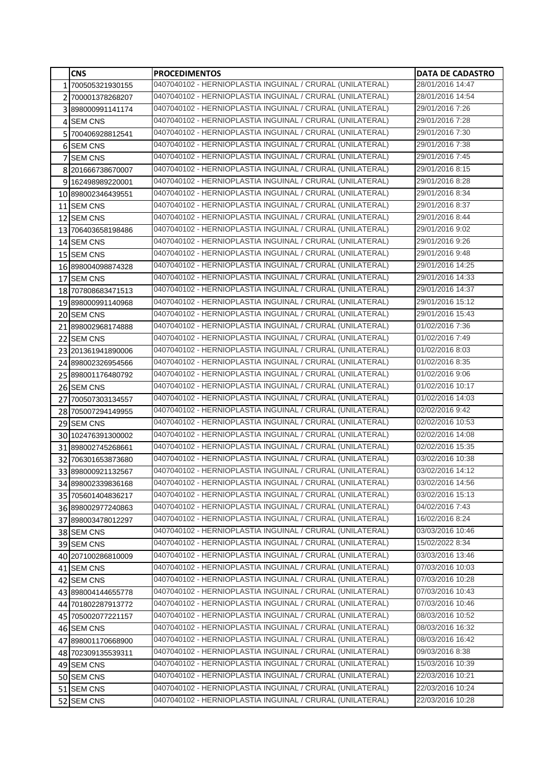|   | <b>CNS</b>         | <b>PROCEDIMENTOS</b>                                      | <b>DATA DE CADASTRO</b> |
|---|--------------------|-----------------------------------------------------------|-------------------------|
|   | 1 700505321930155  | 0407040102 - HERNIOPLASTIA INGUINAL / CRURAL (UNILATERAL) | 28/01/2016 14:47        |
|   | 2 700001378268207  | 0407040102 - HERNIOPLASTIA INGUINAL / CRURAL (UNILATERAL) | 28/01/2016 14:54        |
|   | 3 898000991141174  | 0407040102 - HERNIOPLASTIA INGUINAL / CRURAL (UNILATERAL) | 29/01/2016 7:26         |
|   | 4 SEM CNS          | 0407040102 - HERNIOPLASTIA INGUINAL / CRURAL (UNILATERAL) | 29/01/2016 7:28         |
|   | 5 700406928812541  | 0407040102 - HERNIOPLASTIA INGUINAL / CRURAL (UNILATERAL) | 29/01/2016 7:30         |
|   | 6 SEM CNS          | 0407040102 - HERNIOPLASTIA INGUINAL / CRURAL (UNILATERAL) | 29/01/2016 7:38         |
| 7 | <b>SEM CNS</b>     | 0407040102 - HERNIOPLASTIA INGUINAL / CRURAL (UNILATERAL) | 29/01/2016 7:45         |
|   | 8 201666738670007  | 0407040102 - HERNIOPLASTIA INGUINAL / CRURAL (UNILATERAL) | 29/01/2016 8:15         |
|   | 9 162498989220001  | 0407040102 - HERNIOPLASTIA INGUINAL / CRURAL (UNILATERAL) | 29/01/2016 8:28         |
|   | 10 898002346439551 | 0407040102 - HERNIOPLASTIA INGUINAL / CRURAL (UNILATERAL) | 29/01/2016 8:34         |
|   | 11 SEM CNS         | 0407040102 - HERNIOPLASTIA INGUINAL / CRURAL (UNILATERAL) | 29/01/2016 8:37         |
|   | 12 SEM CNS         | 0407040102 - HERNIOPLASTIA INGUINAL / CRURAL (UNILATERAL) | 29/01/2016 8:44         |
|   | 13 706403658198486 | 0407040102 - HERNIOPLASTIA INGUINAL / CRURAL (UNILATERAL) | 29/01/2016 9:02         |
|   | 14 SEM CNS         | 0407040102 - HERNIOPLASTIA INGUINAL / CRURAL (UNILATERAL) | 29/01/2016 9:26         |
|   | 15 SEM CNS         | 0407040102 - HERNIOPLASTIA INGUINAL / CRURAL (UNILATERAL) | 29/01/2016 9:48         |
|   | 16 898004098874328 | 0407040102 - HERNIOPLASTIA INGUINAL / CRURAL (UNILATERAL) | 29/01/2016 14:25        |
|   | 17 SEM CNS         | 0407040102 - HERNIOPLASTIA INGUINAL / CRURAL (UNILATERAL) | 29/01/2016 14:33        |
|   | 18 707808683471513 | 0407040102 - HERNIOPLASTIA INGUINAL / CRURAL (UNILATERAL) | 29/01/2016 14:37        |
|   | 19 898000991140968 | 0407040102 - HERNIOPLASTIA INGUINAL / CRURAL (UNILATERAL) | 29/01/2016 15:12        |
|   | 20 SEM CNS         | 0407040102 - HERNIOPLASTIA INGUINAL / CRURAL (UNILATERAL) | 29/01/2016 15:43        |
|   | 21 898002968174888 | 0407040102 - HERNIOPLASTIA INGUINAL / CRURAL (UNILATERAL) | 01/02/2016 7:36         |
|   | 22 SEM CNS         | 0407040102 - HERNIOPLASTIA INGUINAL / CRURAL (UNILATERAL) | 01/02/2016 7:49         |
|   | 23 201361941890006 | 0407040102 - HERNIOPLASTIA INGUINAL / CRURAL (UNILATERAL) | 01/02/2016 8:03         |
|   | 24 898002326954566 | 0407040102 - HERNIOPLASTIA INGUINAL / CRURAL (UNILATERAL) | 01/02/2016 8:35         |
|   | 25 898001176480792 | 0407040102 - HERNIOPLASTIA INGUINAL / CRURAL (UNILATERAL) | 01/02/2016 9:06         |
|   | 26 SEM CNS         | 0407040102 - HERNIOPLASTIA INGUINAL / CRURAL (UNILATERAL) | 01/02/2016 10:17        |
|   | 27 700507303134557 | 0407040102 - HERNIOPLASTIA INGUINAL / CRURAL (UNILATERAL) | 01/02/2016 14:03        |
|   | 28 705007294149955 | 0407040102 - HERNIOPLASTIA INGUINAL / CRURAL (UNILATERAL) | 02/02/2016 9:42         |
|   | 29 SEM CNS         | 0407040102 - HERNIOPLASTIA INGUINAL / CRURAL (UNILATERAL) | 02/02/2016 10:53        |
|   | 30 102476391300002 | 0407040102 - HERNIOPLASTIA INGUINAL / CRURAL (UNILATERAL) | 02/02/2016 14:08        |
|   | 31 898002745268661 | 0407040102 - HERNIOPLASTIA INGUINAL / CRURAL (UNILATERAL) | 02/02/2016 15:35        |
|   | 32 706301653873680 | 0407040102 - HERNIOPLASTIA INGUINAL / CRURAL (UNILATERAL) | 03/02/2016 10:38        |
|   | 33 898000921132567 | 0407040102 - HERNIOPLASTIA INGUINAL / CRURAL (UNILATERAL) | 03/02/2016 14:12        |
|   | 34 898002339836168 | 0407040102 - HERNIOPLASTIA INGUINAL / CRURAL (UNILATERAL) | 03/02/2016 14:56        |
|   | 35 705601404836217 | 0407040102 - HERNIOPLASTIA INGUINAL / CRURAL (UNILATERAL) | 03/02/2016 15:13        |
|   | 36 898002977240863 | 0407040102 - HERNIOPLASTIA INGUINAL / CRURAL (UNILATERAL) | 04/02/2016 7:43         |
|   | 37 898003478012297 | 0407040102 - HERNIOPLASTIA INGUINAL / CRURAL (UNILATERAL) | 16/02/2016 8:24         |
|   | 38 SEM CNS         | 0407040102 - HERNIOPLASTIA INGUINAL / CRURAL (UNILATERAL) | 03/03/2016 10:46        |
|   | 39 SEM CNS         | 0407040102 - HERNIOPLASTIA INGUINAL / CRURAL (UNILATERAL) | 15/02/2022 8:34         |
|   | 40 207100286810009 | 0407040102 - HERNIOPLASTIA INGUINAL / CRURAL (UNILATERAL) | 03/03/2016 13:46        |
|   | 41 SEM CNS         | 0407040102 - HERNIOPLASTIA INGUINAL / CRURAL (UNILATERAL) | 07/03/2016 10:03        |
|   | 42 SEM CNS         | 0407040102 - HERNIOPLASTIA INGUINAL / CRURAL (UNILATERAL) | 07/03/2016 10:28        |
|   | 43 898004144655778 | 0407040102 - HERNIOPLASTIA INGUINAL / CRURAL (UNILATERAL) | 07/03/2016 10:43        |
|   | 44 701802287913772 | 0407040102 - HERNIOPLASTIA INGUINAL / CRURAL (UNILATERAL) | 07/03/2016 10:46        |
|   | 45 705002077221157 | 0407040102 - HERNIOPLASTIA INGUINAL / CRURAL (UNILATERAL) | 08/03/2016 10:52        |
|   | 46 SEM CNS         | 0407040102 - HERNIOPLASTIA INGUINAL / CRURAL (UNILATERAL) | 08/03/2016 16:32        |
|   | 47 898001170668900 | 0407040102 - HERNIOPLASTIA INGUINAL / CRURAL (UNILATERAL) | 08/03/2016 16:42        |
|   | 48 702309135539311 | 0407040102 - HERNIOPLASTIA INGUINAL / CRURAL (UNILATERAL) | 09/03/2016 8:38         |
|   | 49 SEM CNS         | 0407040102 - HERNIOPLASTIA INGUINAL / CRURAL (UNILATERAL) | 15/03/2016 10:39        |
|   | 50 SEM CNS         | 0407040102 - HERNIOPLASTIA INGUINAL / CRURAL (UNILATERAL) | 22/03/2016 10:21        |
|   | 51 SEM CNS         | 0407040102 - HERNIOPLASTIA INGUINAL / CRURAL (UNILATERAL) | 22/03/2016 10:24        |
|   | 52 SEM CNS         | 0407040102 - HERNIOPLASTIA INGUINAL / CRURAL (UNILATERAL) | 22/03/2016 10:28        |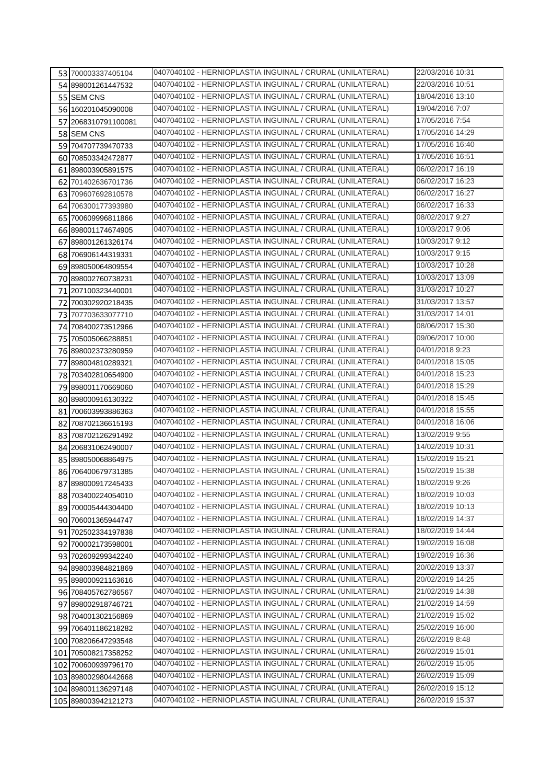| 53 700003337405104  | 0407040102 - HERNIOPLASTIA INGUINAL / CRURAL (UNILATERAL) | 22/03/2016 10:31 |
|---------------------|-----------------------------------------------------------|------------------|
| 54 898001261447532  | 0407040102 - HERNIOPLASTIA INGUINAL / CRURAL (UNILATERAL) | 22/03/2016 10:51 |
| 55 SEM CNS          | 0407040102 - HERNIOPLASTIA INGUINAL / CRURAL (UNILATERAL) | 18/04/2016 13:10 |
| 56 160201045090008  | 0407040102 - HERNIOPLASTIA INGUINAL / CRURAL (UNILATERAL) | 19/04/2016 7:07  |
| 57 2068310791100081 | 0407040102 - HERNIOPLASTIA INGUINAL / CRURAL (UNILATERAL) | 17/05/2016 7:54  |
| 58 SEM CNS          | 0407040102 - HERNIOPLASTIA INGUINAL / CRURAL (UNILATERAL) | 17/05/2016 14:29 |
| 59 704707739470733  | 0407040102 - HERNIOPLASTIA INGUINAL / CRURAL (UNILATERAL) | 17/05/2016 16:40 |
| 60 708503342472877  | 0407040102 - HERNIOPLASTIA INGUINAL / CRURAL (UNILATERAL) | 17/05/2016 16:51 |
| 61 898003905891575  | 0407040102 - HERNIOPLASTIA INGUINAL / CRURAL (UNILATERAL) | 06/02/2017 16:19 |
| 62 701402636701736  | 0407040102 - HERNIOPLASTIA INGUINAL / CRURAL (UNILATERAL) | 06/02/2017 16:23 |
| 63 709607692810578  | 0407040102 - HERNIOPLASTIA INGUINAL / CRURAL (UNILATERAL) | 06/02/2017 16:27 |
| 64 706300177393980  | 0407040102 - HERNIOPLASTIA INGUINAL / CRURAL (UNILATERAL) | 06/02/2017 16:33 |
| 65 700609996811866  | 0407040102 - HERNIOPLASTIA INGUINAL / CRURAL (UNILATERAL) | 08/02/2017 9:27  |
| 66 898001174674905  | 0407040102 - HERNIOPLASTIA INGUINAL / CRURAL (UNILATERAL) | 10/03/2017 9:06  |
| 67 898001261326174  | 0407040102 - HERNIOPLASTIA INGUINAL / CRURAL (UNILATERAL) | 10/03/2017 9:12  |
| 68 706906144319331  | 0407040102 - HERNIOPLASTIA INGUINAL / CRURAL (UNILATERAL) | 10/03/2017 9:15  |
| 69 898050064809554  | 0407040102 - HERNIOPLASTIA INGUINAL / CRURAL (UNILATERAL) | 10/03/2017 10:28 |
| 70 898002760738231  | 0407040102 - HERNIOPLASTIA INGUINAL / CRURAL (UNILATERAL) | 10/03/2017 13:09 |
| 71 207100323440001  | 0407040102 - HERNIOPLASTIA INGUINAL / CRURAL (UNILATERAL) | 31/03/2017 10:27 |
| 72 700302920218435  | 0407040102 - HERNIOPLASTIA INGUINAL / CRURAL (UNILATERAL) | 31/03/2017 13:57 |
| 73 707703633077710  | 0407040102 - HERNIOPLASTIA INGUINAL / CRURAL (UNILATERAL) | 31/03/2017 14:01 |
| 74 708400273512966  | 0407040102 - HERNIOPLASTIA INGUINAL / CRURAL (UNILATERAL) | 08/06/2017 15:30 |
| 75 705005066288851  | 0407040102 - HERNIOPLASTIA INGUINAL / CRURAL (UNILATERAL) | 09/06/2017 10:00 |
| 76 898002373280959  | 0407040102 - HERNIOPLASTIA INGUINAL / CRURAL (UNILATERAL) | 04/01/2018 9:23  |
| 77 898004810289321  | 0407040102 - HERNIOPLASTIA INGUINAL / CRURAL (UNILATERAL) | 04/01/2018 15:05 |
| 78 703402810654900  | 0407040102 - HERNIOPLASTIA INGUINAL / CRURAL (UNILATERAL) | 04/01/2018 15:23 |
| 79 898001170669060  | 0407040102 - HERNIOPLASTIA INGUINAL / CRURAL (UNILATERAL) | 04/01/2018 15:29 |
| 80 898000916130322  | 0407040102 - HERNIOPLASTIA INGUINAL / CRURAL (UNILATERAL) | 04/01/2018 15:45 |
| 81 700603993886363  | 0407040102 - HERNIOPLASTIA INGUINAL / CRURAL (UNILATERAL) | 04/01/2018 15:55 |
| 82 708702136615193  | 0407040102 - HERNIOPLASTIA INGUINAL / CRURAL (UNILATERAL) | 04/01/2018 16:06 |
| 83 708702126291492  | 0407040102 - HERNIOPLASTIA INGUINAL / CRURAL (UNILATERAL) | 13/02/2019 9:55  |
| 84 206831062490007  | 0407040102 - HERNIOPLASTIA INGUINAL / CRURAL (UNILATERAL) | 14/02/2019 10:31 |
| 85 898050068864975  | 0407040102 - HERNIOPLASTIA INGUINAL / CRURAL (UNILATERAL) | 15/02/2019 15:21 |
| 86 706400679731385  | 0407040102 - HERNIOPLASTIA INGUINAL / CRURAL (UNILATERAL) | 15/02/2019 15:38 |
| 87 898000917245433  | 0407040102 - HERNIOPLASTIA INGUINAL / CRURAL (UNILATERAL) | 18/02/2019 9:26  |
| 88 703400224054010  | 0407040102 - HERNIOPLASTIA INGUINAL / CRURAL (UNILATERAL) | 18/02/2019 10:03 |
| 89 700005444304400  | 0407040102 - HERNIOPLASTIA INGUINAL / CRURAL (UNILATERAL) | 18/02/2019 10:13 |
| 90 706001365944747  | 0407040102 - HERNIOPLASTIA INGUINAL / CRURAL (UNILATERAL) | 18/02/2019 14:37 |
| 91 702502334197838  | 0407040102 - HERNIOPLASTIA INGUINAL / CRURAL (UNILATERAL) | 18/02/2019 14:44 |
| 92 700002173598001  | 0407040102 - HERNIOPLASTIA INGUINAL / CRURAL (UNILATERAL) | 19/02/2019 16:08 |
| 93 702609299342240  | 0407040102 - HERNIOPLASTIA INGUINAL / CRURAL (UNILATERAL) | 19/02/2019 16:36 |
| 94 898003984821869  | 0407040102 - HERNIOPLASTIA INGUINAL / CRURAL (UNILATERAL) | 20/02/2019 13:37 |
| 95 898000921163616  | 0407040102 - HERNIOPLASTIA INGUINAL / CRURAL (UNILATERAL) | 20/02/2019 14:25 |
| 96 708405762786567  | 0407040102 - HERNIOPLASTIA INGUINAL / CRURAL (UNILATERAL) | 21/02/2019 14:38 |
| 97 898002918746721  | 0407040102 - HERNIOPLASTIA INGUINAL / CRURAL (UNILATERAL) | 21/02/2019 14:59 |
| 98 704001302156869  | 0407040102 - HERNIOPLASTIA INGUINAL / CRURAL (UNILATERAL) | 21/02/2019 15:02 |
| 99 706401186218282  | 0407040102 - HERNIOPLASTIA INGUINAL / CRURAL (UNILATERAL) | 25/02/2019 16:00 |
| 100 708206647293548 | 0407040102 - HERNIOPLASTIA INGUINAL / CRURAL (UNILATERAL) | 26/02/2019 8:48  |
| 101 705008217358252 | 0407040102 - HERNIOPLASTIA INGUINAL / CRURAL (UNILATERAL) | 26/02/2019 15:01 |
| 102 700600939796170 | 0407040102 - HERNIOPLASTIA INGUINAL / CRURAL (UNILATERAL) | 26/02/2019 15:05 |
| 103 898002980442668 | 0407040102 - HERNIOPLASTIA INGUINAL / CRURAL (UNILATERAL) | 26/02/2019 15:09 |
| 104 898001136297148 | 0407040102 - HERNIOPLASTIA INGUINAL / CRURAL (UNILATERAL) | 26/02/2019 15:12 |
| 105 898003942121273 | 0407040102 - HERNIOPLASTIA INGUINAL / CRURAL (UNILATERAL) | 26/02/2019 15:37 |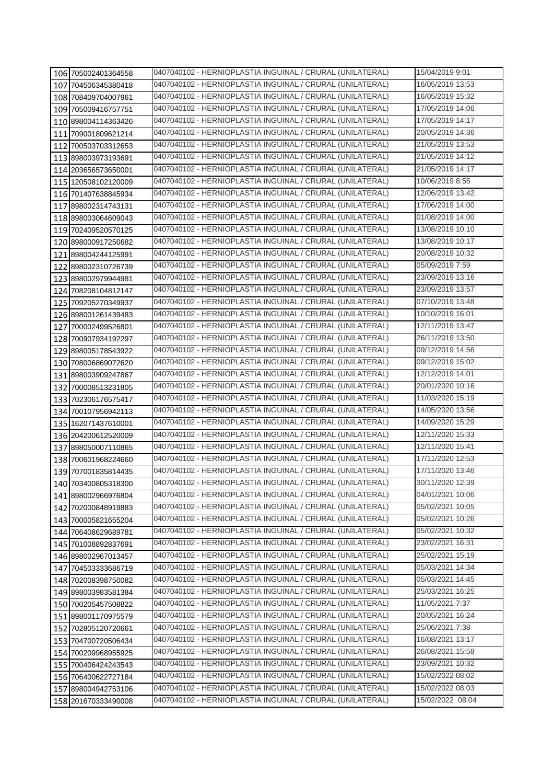| 106 705002401364558 | 0407040102 - HERNIOPLASTIA INGUINAL / CRURAL (UNILATERAL) | 15/04/2019 9:01  |
|---------------------|-----------------------------------------------------------|------------------|
| 107 704506345380418 | 0407040102 - HERNIOPLASTIA INGUINAL / CRURAL (UNILATERAL) | 16/05/2019 13:53 |
| 108 708409704007961 | 0407040102 - HERNIOPLASTIA INGUINAL / CRURAL (UNILATERAL) | 16/05/2019 15:32 |
| 109 705009416757751 | 0407040102 - HERNIOPLASTIA INGUINAL / CRURAL (UNILATERAL) | 17/05/2019 14:06 |
| 110 898004114363426 | 0407040102 - HERNIOPLASTIA INGUINAL / CRURAL (UNILATERAL) | 17/05/2019 14:17 |
| 111 709001809621214 | 0407040102 - HERNIOPLASTIA INGUINAL / CRURAL (UNILATERAL) | 20/05/2019 14:36 |
| 112 700503703312653 | 0407040102 - HERNIOPLASTIA INGUINAL / CRURAL (UNILATERAL) | 21/05/2019 13:53 |
| 113 898003973193691 | 0407040102 - HERNIOPLASTIA INGUINAL / CRURAL (UNILATERAL) | 21/05/2019 14:12 |
| 114 203656573650001 | 0407040102 - HERNIOPLASTIA INGUINAL / CRURAL (UNILATERAL) | 21/05/2019 14:17 |
| 115 120508102120009 | 0407040102 - HERNIOPLASTIA INGUINAL / CRURAL (UNILATERAL) | 10/06/2019 8:55  |
| 116 701407638845934 | 0407040102 - HERNIOPLASTIA INGUINAL / CRURAL (UNILATERAL) | 12/06/2019 13:42 |
| 117 898002314743131 | 0407040102 - HERNIOPLASTIA INGUINAL / CRURAL (UNILATERAL) | 17/06/2019 14:00 |
| 118 898003064609043 | 0407040102 - HERNIOPLASTIA INGUINAL / CRURAL (UNILATERAL) | 01/08/2019 14:00 |
| 119 702409520570125 | 0407040102 - HERNIOPLASTIA INGUINAL / CRURAL (UNILATERAL) | 13/08/2019 10:10 |
| 120 898000917250682 | 0407040102 - HERNIOPLASTIA INGUINAL / CRURAL (UNILATERAL) | 13/08/2019 10:17 |
| 121 898004244125991 | 0407040102 - HERNIOPLASTIA INGUINAL / CRURAL (UNILATERAL) | 20/08/2019 10:32 |
| 122 898002310726739 | 0407040102 - HERNIOPLASTIA INGUINAL / CRURAL (UNILATERAL) | 05/09/2019 7:59  |
| 123 898002979944981 | 0407040102 - HERNIOPLASTIA INGUINAL / CRURAL (UNILATERAL) | 23/09/2019 13:16 |
| 124 708208104812147 | 0407040102 - HERNIOPLASTIA INGUINAL / CRURAL (UNILATERAL) | 23/09/2019 13:57 |
| 125 709205270349937 | 0407040102 - HERNIOPLASTIA INGUINAL / CRURAL (UNILATERAL) | 07/10/2019 13:48 |
| 126 898001261439483 | 0407040102 - HERNIOPLASTIA INGUINAL / CRURAL (UNILATERAL) | 10/10/2019 16:01 |
| 127 700002499526801 | 0407040102 - HERNIOPLASTIA INGUINAL / CRURAL (UNILATERAL) | 12/11/2019 13:47 |
| 128 700907934192297 | 0407040102 - HERNIOPLASTIA INGUINAL / CRURAL (UNILATERAL) | 26/11/2019 13:50 |
| 129 898005178543922 | 0407040102 - HERNIOPLASTIA INGUINAL / CRURAL (UNILATERAL) | 09/12/2019 14:56 |
| 130 708006869072620 | 0407040102 - HERNIOPLASTIA INGUINAL / CRURAL (UNILATERAL) | 09/12/2019 15:02 |
| 131 898003909247867 | 0407040102 - HERNIOPLASTIA INGUINAL / CRURAL (UNILATERAL) | 12/12/2019 14:01 |
| 132 700008513231805 | 0407040102 - HERNIOPLASTIA INGUINAL / CRURAL (UNILATERAL) | 20/01/2020 10:16 |
| 133 702306176575417 | 0407040102 - HERNIOPLASTIA INGUINAL / CRURAL (UNILATERAL) | 11/03/2020 15:19 |
| 134 700107956942113 | 0407040102 - HERNIOPLASTIA INGUINAL / CRURAL (UNILATERAL) | 14/05/2020 13:56 |
| 135 162071437610001 | 0407040102 - HERNIOPLASTIA INGUINAL / CRURAL (UNILATERAL) | 14/09/2020 15:29 |
| 136 204200612520009 | 0407040102 - HERNIOPLASTIA INGUINAL / CRURAL (UNILATERAL) | 12/11/2020 15:33 |
| 137 898050007110865 | 0407040102 - HERNIOPLASTIA INGUINAL / CRURAL (UNILATERAL) | 12/11/2020 15:41 |
| 138 700601968224660 | 0407040102 - HERNIOPLASTIA INGUINAL / CRURAL (UNILATERAL) | 17/11/2020 12:53 |
| 139 707001835814435 | 0407040102 - HERNIOPLASTIA INGUINAL / CRURAL (UNILATERAL) | 17/11/2020 13:46 |
| 140 703400805318300 | 0407040102 - HERNIOPLASTIA INGUINAL / CRURAL (UNILATERAL) | 30/11/2020 12:39 |
| 141 898002966976804 | 0407040102 - HERNIOPLASTIA INGUINAL / CRURAL (UNILATERAL) | 04/01/2021 10:06 |
| 142 702000848919883 | 0407040102 - HERNIOPLASTIA INGUINAL / CRURAL (UNILATERAL) | 05/02/2021 10:05 |
| 143 700005821655204 | 0407040102 - HERNIOPLASTIA INGUINAL / CRURAL (UNILATERAL) | 05/02/2021 10:26 |
| 144 706408629689781 | 0407040102 - HERNIOPLASTIA INGUINAL / CRURAL (UNILATERAL) | 05/02/2021 10:32 |
| 145 701008892837691 | 0407040102 - HERNIOPLASTIA INGUINAL / CRURAL (UNILATERAL) | 23/02/2021 16:31 |
| 146 898002967013457 | 0407040102 - HERNIOPLASTIA INGUINAL / CRURAL (UNILATERAL) | 25/02/2021 15:19 |
| 147 704503333686719 | 0407040102 - HERNIOPLASTIA INGUINAL / CRURAL (UNILATERAL) | 05/03/2021 14:34 |
| 148 702008398750082 | 0407040102 - HERNIOPLASTIA INGUINAL / CRURAL (UNILATERAL) | 05/03/2021 14:45 |
| 149 898003983581384 | 0407040102 - HERNIOPLASTIA INGUINAL / CRURAL (UNILATERAL) | 25/03/2021 16:25 |
| 150 700205457508822 | 0407040102 - HERNIOPLASTIA INGUINAL / CRURAL (UNILATERAL) | 11/05/2021 7:37  |
| 151 898001170975579 | 0407040102 - HERNIOPLASTIA INGUINAL / CRURAL (UNILATERAL) | 20/05/2021 16:24 |
| 152 702805120720661 | 0407040102 - HERNIOPLASTIA INGUINAL / CRURAL (UNILATERAL) | 25/06/2021 7:38  |
| 153 704700720506434 | 0407040102 - HERNIOPLASTIA INGUINAL / CRURAL (UNILATERAL) | 16/08/2021 13:17 |
| 154 700209968955925 | 0407040102 - HERNIOPLASTIA INGUINAL / CRURAL (UNILATERAL) | 26/08/2021 15:58 |
| 155 700406424243543 | 0407040102 - HERNIOPLASTIA INGUINAL / CRURAL (UNILATERAL) | 23/09/2021 10:32 |
| 156 706400622727184 | 0407040102 - HERNIOPLASTIA INGUINAL / CRURAL (UNILATERAL) | 15/02/2022 08:02 |
| 157 898004942753106 | 0407040102 - HERNIOPLASTIA INGUINAL / CRURAL (UNILATERAL) | 15/02/2022 08:03 |
| 158 201670333490008 | 0407040102 - HERNIOPLASTIA INGUINAL / CRURAL (UNILATERAL) | 15/02/2022 08:04 |